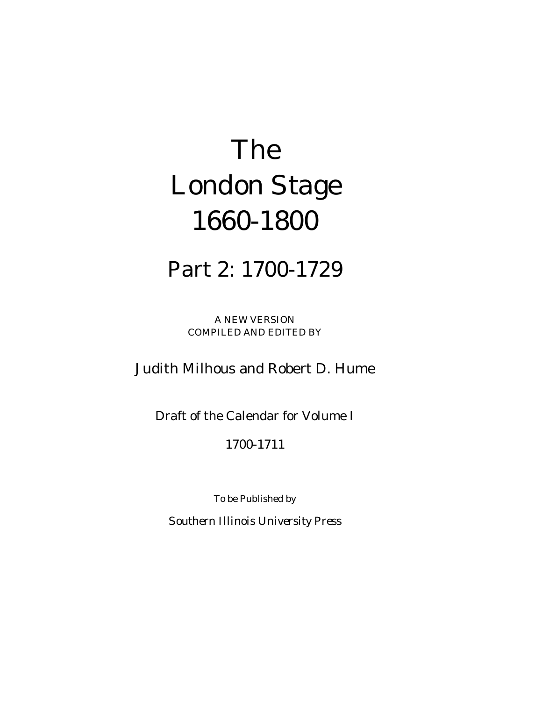# *The London Stage 1660-1800*

# Part 2: 1700-1729

A NEW VERSION COMPILED AND EDITED BY

## Judith Milhous and Robert D. Hume

Draft of the Calendar for Volume I

### 1700-1711

To be Published by

*Southern Illinois University Press*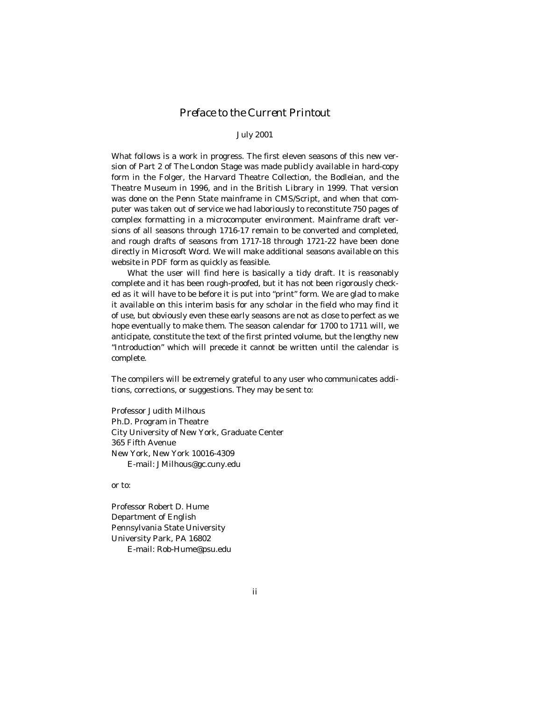#### *Preface to the Current Printout*

#### July 2001

What follows is a work in progress. The first eleven seasons of this new version of Part 2 of *The London* Stage was made publicly available in hard-copy form in the Folger, the Harvard Theatre Collection, the Bodleian, and the Theatre Museum in 1996, and in the British Library in 1999. That version was done on the Penn State mainframe in CMS/Script, and when that computer was taken out of service we had laboriously to reconstitute 750 pages of complex formatting in a microcomputer environment. Mainframe draft versions of all seasons through 1716-17 remain to be converted and completed, and rough drafts of seasons from 1717-18 through 1721-22 have been done directly in Microsoft Word. We will make additional seasons available on this website in PDF form as quickly as feasible.

 What the user will find here is basically a tidy draft. It is reasonably complete and it has been rough-proofed, but it has not been rigorously checked as it will have to be before it is put into "print" form. We are glad to make it available on this interim basis for any scholar in the field who may find it of use, but obviously even these early seasons are not as close to perfect as we hope eventually to make them. The season calendar for 1700 to 1711 will*,* we anticipate, constitute the text of the first printed volume, but the lengthy new "Introduction" which will precede it cannot be written until the calendar is complete.

The compilers will be extremely grateful to any user who communicates additions, corrections, or suggestions. They may be sent to:

Professor Judith Milhous Ph.D. Program in Theatre City University of New York, Graduate Center 365 Fifth Avenue New York, New York 10016-4309 E-mail: JMilhous@gc.cuny.edu

or to:

Professor Robert D. Hume Department of English Pennsylvania State University University Park, PA 16802 E-mail: Rob-Hume@psu.edu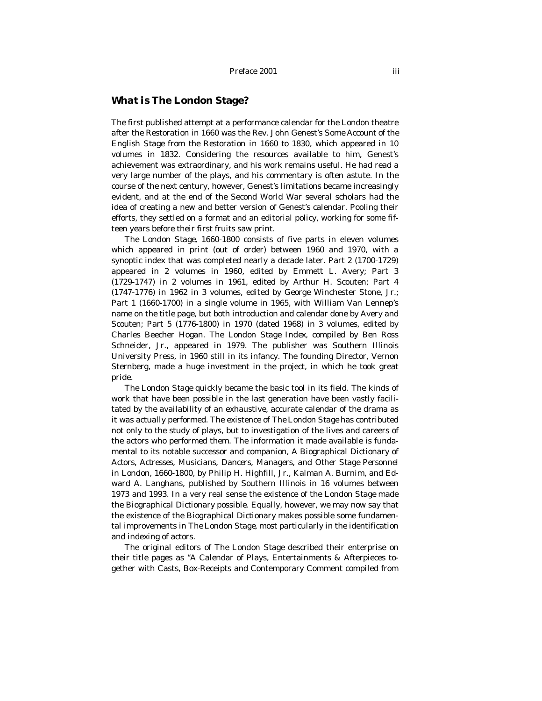#### *What is* **The London Stage***?*

The first published attempt at a performance calendar for the London theatre after the Restoration in 1660 was the Rev. John Genest's *Some Account of the English Stage from the Restoration in 1660 to 1830*, which appeared in 10 volumes in 1832. Considering the resources available to him, Genest's achievement was extraordinary, and his work remains useful. He had read a very large number of the plays, and his commentary is often astute. In the course of the next century, however, Genest's limitations became increasingly evident, and at the end of the Second World War several scholars had the idea of creating a new and better version of Genest's calendar. Pooling their efforts, they settled on a format and an editorial policy, working for some fifteen years before their first fruits saw print.

*The London Stage, 1660-1800* consists of five parts in eleven volumes which appeared in print (out of order) between 1960 and 1970, with a synoptic index that was completed nearly a decade later. Part 2 (1700-1729) appeared in 2 volumes in 1960, edited by Emmett L. Avery; Part 3 (1729-1747) in 2 volumes in 1961, edited by Arthur H. Scouten; Part 4 (1747-1776) in 1962 in 3 volumes, edited by George Winchester Stone, Jr.; Part 1 (1660-1700) in a single volume in 1965, with William Van Lennep's name on the title page, but both introduction and calendar done by Avery and Scouten; Part 5 (1776-1800) in 1970 (dated 1968) in 3 volumes, edited by Charles Beecher Hogan. The *London Stage Index,* compiled by Ben Ross Schneider, Jr., appeared in 1979. The publisher was Southern Illinois University Press, in 1960 still in its infancy. The founding Director, Vernon Sternberg, made a huge investment in the project, in which he took great pride.

*The London Stage* quickly became the basic tool in its field. The kinds of work that have been possible in the last generation have been vastly facilitated by the availability of an exhaustive, accurate calendar of the drama as it was actually performed. The existence of *The London Stage* has contributed not only to the study of plays, but to investigation of the lives and careers of the actors who performed them. The information it made available is fundamental to its notable successor and companion, *A Biographical Dictionary of Actors, Actresses, Musicians, Dancers, Managers, and Other Stage Personnel in London, 1660-1800,* by Philip H. Highfill, Jr., Kalman A. Burnim, and Edward A. Langhans, published by Southern Illinois in 16 volumes between 1973 and 1993. In a very real sense the existence of the *London Stage* made the *Biographical Dictionary* possible. Equally, however, we may now say that the existence of the *Biographical Dictionary* makes possible some fundamental improvements in *The London Stage,* most particularly in the identification and indexing of actors.

The original editors of *The London Stage* described their enterprise on their title pages as "A Calendar of Plays, Entertainments & Afterpieces together with Casts, Box-Receipts and Contemporary Comment compiled from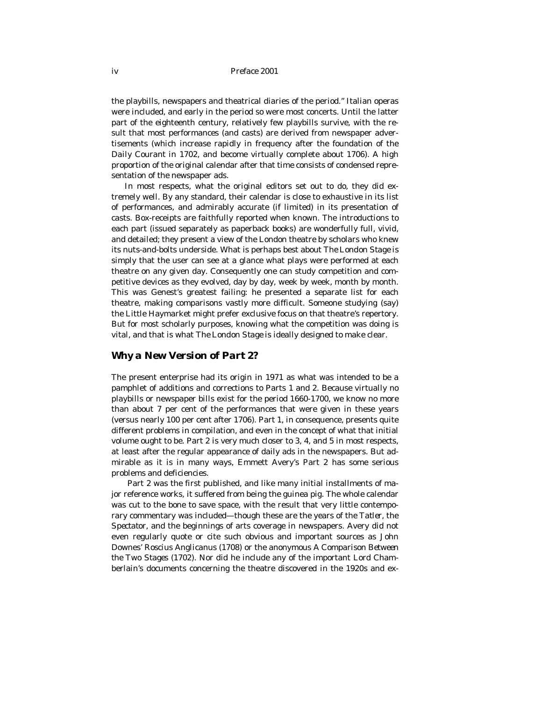the playbills, newspapers and theatrical diaries of the period." Italian operas were included, and early in the period so were most concerts. Until the latter part of the eighteenth century, relatively few playbills survive, with the result that most performances (and casts) are derived from newspaper advertisements (which increase rapidly in frequency after the foundation of the *Daily Courant* in 1702, and become virtually complete about 1706). A high proportion of the original calendar after that time consists of condensed representation of the newspaper ads.

In most respects, what the original editors set out to do, they did extremely well. By any standard, their calendar is close to exhaustive in its list of performances, and admirably accurate (if limited) in its presentation of casts. Box-receipts are faithfully reported when known. The introductions to each part (issued separately as paperback books) are wonderfully full, vivid, and detailed; they present a view of the London theatre by scholars who knew its nuts-and-bolts underside. What is perhaps best about *The London Stage is*  simply that the user can see at a glance what plays were performed at each theatre on any given day. Consequently one can study competition and competitive devices as they evolved, day by day, week by week, month by month. This was Genest's greatest failing: he presented a separate list for each theatre, making comparisons vastly more difficult. Someone studying (say) the Little Haymarket might prefer exclusive focus on that theatre's repertory. But for most scholarly purposes, knowing what the competition was doing is vital, and that is what *The London Stage* is ideally designed to make clear.

#### *Why a New Version of Part 2?*

The present enterprise had its origin in 1971 as what was intended to be a pamphlet of additions and corrections to Parts 1 and 2. Because virtually no playbills or newspaper bills exist for the period 1660-1700, we know no more than about 7 per cent of the performances that were given in these years (versus nearly 100 per cent after 1706). Part 1, in consequence, presents quite different problems in compilation, and even in the concept of what that initial volume ought to be. Part 2 is very much closer to 3, 4, and 5 in most respects, at least after the regular appearance of daily ads in the newspapers. But admirable as it is in many ways, Emmett Avery's Part 2 has some serious problems and deficiencies.

 Part 2 was the first published, and like many initial installments of major reference works, it suffered from being the guinea pig. The whole calendar was cut to the bone to save space, with the result that very little contemporary commentary was included—though these are the years of the *Tatler,* the *Spectator,* and the beginnings of arts coverage in newspapers. Avery did not even regularly quote or cite such obvious and important sources as John Downes' *Roscius Anglicanus* (1708) or the anonymous *A Comparison Between the Two Stages* (1702). Nor did he include any of the important Lord Chamberlain's documents concerning the theatre discovered in the 1920s and ex-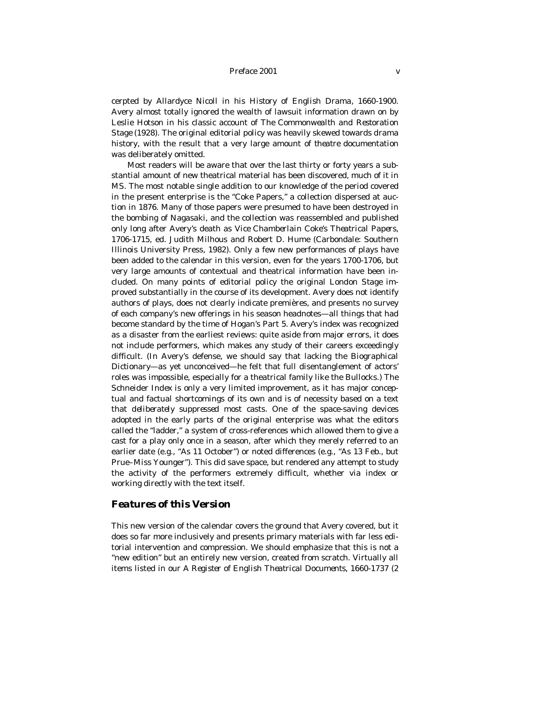cerpted by Allardyce Nicoll in his *History of English Drama, 1660-1900.*  Avery almost totally ignored the wealth of lawsuit information drawn on by Leslie Hotson in his classic account of *The Commonwealth and Restoration Stage* (1928). The original editorial policy was heavily skewed towards *drama*  history, with the result that a very large amount of *theatre* documentation was deliberately omitted.

 Most readers will be aware that over the last thirty or forty years a substantial amount of new theatrical material has been discovered, much of it in MS. The most notable single addition to our knowledge of the period covered in the present enterprise is the "Coke Papers," a collection dispersed at auction in 1876. Many of those papers were presumed to have been destroyed in the bombing of Nagasaki, and the collection was reassembled and published only long after Avery's death as *Vice Chamberlain Coke's Theatrical Papers, 1706-1715,* ed. Judith Milhous and Robert D. Hume (Carbondale: Southern Illinois University Press, 1982). Only a few new performances of plays have been added to the calendar in this version, even for the years 1700-1706, but very large amounts of contextual and theatrical information have been included. On many points of editorial policy the original *London Stage* improved substantially in the course of its development. Avery does not identify authors of plays, does not clearly indicate premières, and presents no survey of each company's new offerings in his season headnotes—all things that had become standard by the time of Hogan's Part 5. Avery's index was recognized as a disaster from the earliest reviews: quite aside from major errors, it does not include performers, which makes any study of their careers exceedingly difficult. (In Avery's defense, we should say that lacking the *Biographical Dictionary*—as yet unconceived—he felt that full disentanglement of actors' roles was impossible, especially for a theatrical family like the Bullocks.) The Schneider *Index* is only a very limited improvement, as it has major conceptual and factual shortcomings of its own and is of necessity based on a text that *deliberately suppressed* most casts. One of the space-saving devices adopted in the early parts of the original enterprise was what the editors called the "ladder," a system of cross-references which allowed them to give a cast for a play only once in a season, after which they merely referred to an earlier date (e.g., "As 11 October") or noted differences (e.g., "As 13 Feb., but Prue–Miss Younger"). This did save space, but rendered any attempt to study the activity of the performers extremely difficult, whether via index or working directly with the text itself.

#### *Features of this Version*

This new version of the calendar covers the ground that Avery covered, but it does so far more inclusively and presents primary materials with far less editorial intervention and compression. We should emphasize that this is not a "new edition" but an entirely new version, created from scratch. Virtually all items listed in our *A Register of English Theatrical Documents, 1660-1737* (2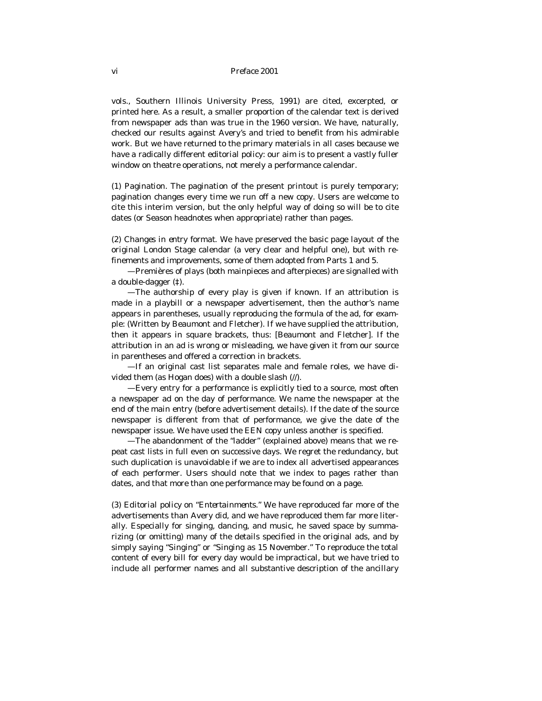vols., Southern Illinois University Press, 1991) are cited, excerpted, or printed here. As a result, a smaller proportion of the calendar text is derived from newspaper ads than was true in the 1960 version. We have, naturally, checked our results against Avery's and tried to benefit from his admirable work. But we have returned to the primary materials in all cases because we have a radically different editorial policy: our aim is to present a vastly fuller window on theatre operations, not merely a performance calendar.

(1) *Pagination*. The pagination of the present printout is purely temporary; pagination changes every time we run off a new copy. Users are welcome to cite this interim version, but the only helpful way of doing so will be to cite dates (or Season headnotes when appropriate) rather than pages.

(2) *Changes in entry format*. We have preserved the basic page layout of the original London Stage calendar (a very clear and helpful one), but with refinements and improvements, some of them adopted from Parts 1 and 5.

 —Premières of plays (both mainpieces and afterpieces) are signalled with a double-dagger (‡).

 —The authorship of every play is given if known. If an attribution is made in a playbill or a newspaper advertisement, then the author's name appears in parentheses, usually reproducing the formula of the ad, for example: (Written by Beaumont and Fletcher). If we have supplied the attribution, then it appears in square brackets, thus: [Beaumont and Fletcher]. If the attribution in an ad is wrong or misleading, we have given it from our source in parentheses and offered a correction in brackets.

 —If an original cast list separates male and female roles, we have divided them (as Hogan does) with a double slash (//).

 —Every entry for a performance is explicitly tied to a source, most often a newspaper ad on the day of performance. We name the newspaper at the end of the main entry (before advertisement details). If the date of the source newspaper is different from that of performance, we give the date of the newspaper issue. We have used the EEN copy unless another is specified.

 —The abandonment of the "ladder" (explained above) means that we repeat cast lists in full even on successive days. We regret the redundancy, but such duplication is unavoidable if we are to index all advertised appearances of each performer. Users should note that we index to pages rather than dates, and that more than one performance may be found on a page.

(3) *Editorial policy on "Entertainments."* We have reproduced far more of the advertisements than Avery did, and we have reproduced them far more literally. Especially for singing, dancing, and music, he saved space by summarizing (or omitting) many of the details specified in the original ads, and by simply saying "Singing" or "Singing as 15 November." To reproduce the total content of every bill for every day would be impractical, but we have tried to include all performer names and all substantive description of the ancillary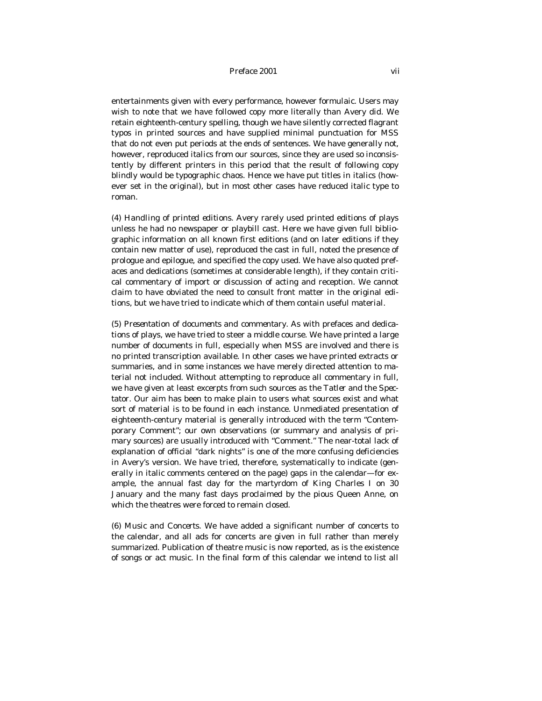entertainments given with every performance, however formulaic. Users may wish to note that we have followed copy more literally than Avery did. We retain eighteenth-century spelling, though we have silently corrected flagrant typos in printed sources and have supplied minimal punctuation for MSS that do not even put periods at the ends of sentences. We have generally *not,*  however, reproduced *italics* from our sources, since they are used so inconsistently by different printers in this period that the result of following copy blindly would be typographic chaos. Hence we have put titles in italics (however set in the original), but in most other cases have reduced italic type to roman.

(4) *Handling of printed editions*. Avery rarely used printed editions of plays unless he had no newspaper or playbill cast. Here we have given full bibliographic information on all known first editions (and on later editions if they contain new matter of use), reproduced the cast in full, noted the presence of prologue and epilogue, and specified the copy used. We have also quoted prefaces and dedications (sometimes at considerable length), if they contain critical commentary of import or discussion of acting and reception. We cannot claim to have obviated the need to consult front matter in the original editions, but we have tried to indicate which of them contain useful material.

(5) *Presentation of documents and commentary*. As with prefaces and dedications of plays, we have tried to steer a middle course. We have printed a large number of documents in full, especially when MSS are involved and there is no printed transcription available. In other cases we have printed extracts or summaries, and in some instances we have merely directed attention to material not included. Without attempting to reproduce all commentary in full, we have given at least excerpts from such sources as the *Tatler* and the *Spectator.* Our aim has been to make plain to users what sources exist and what sort of material is to be found in each instance. Unmediated presentation of eighteenth-century material is generally introduced with the term "Contemporary Comment"; our own observations (or summary and analysis of primary sources) are usually introduced with "Comment." The near-total lack of explanation of official "dark nights" is one of the more confusing deficiencies in Avery's version. We have tried, therefore, systematically to indicate (generally in italic comments centered on the page) gaps in the calendar—for example, the annual fast day for the martyrdom of King Charles I on 30 January and the many fast days proclaimed by the pious Queen Anne, on which the theatres were forced to remain closed.

(6) *Music and Concerts*. We have added a significant number of concerts to the calendar, and all ads for concerts are given in full rather than merely summarized. Publication of theatre music is now reported, as is the existence of songs or act music. In the final form of this calendar we intend to list all